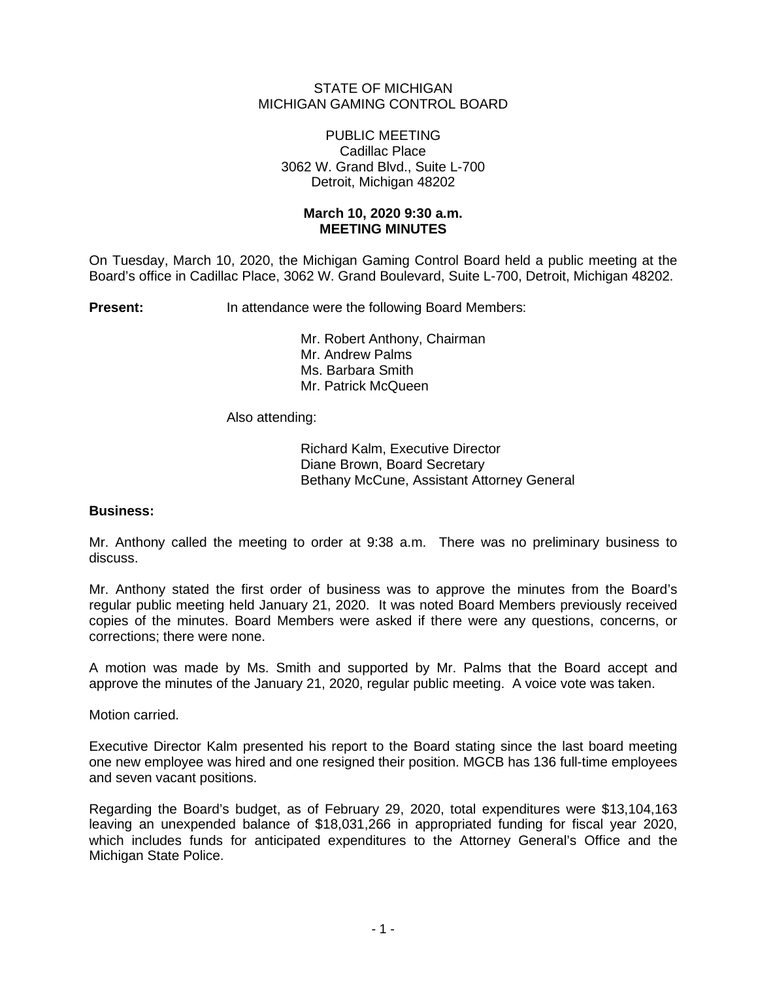## STATE OF MICHIGAN MICHIGAN GAMING CONTROL BOARD

### PUBLIC MEETING Cadillac Place 3062 W. Grand Blvd., Suite L-700 Detroit, Michigan 48202

## **March 10, 2020 9:30 a.m. MEETING MINUTES**

On Tuesday, March 10, 2020, the Michigan Gaming Control Board held a public meeting at the Board's office in Cadillac Place, 3062 W. Grand Boulevard, Suite L-700, Detroit, Michigan 48202.

**Present:** In attendance were the following Board Members:

Mr. Robert Anthony, Chairman Mr. Andrew Palms Ms. Barbara Smith Mr. Patrick McQueen

Also attending:

Richard Kalm, Executive Director Diane Brown, Board Secretary Bethany McCune, Assistant Attorney General

# **Business:**

Mr. Anthony called the meeting to order at 9:38 a.m. There was no preliminary business to discuss.

Mr. Anthony stated the first order of business was to approve the minutes from the Board's regular public meeting held January 21, 2020. It was noted Board Members previously received copies of the minutes. Board Members were asked if there were any questions, concerns, or corrections; there were none.

A motion was made by Ms. Smith and supported by Mr. Palms that the Board accept and approve the minutes of the January 21, 2020, regular public meeting. A voice vote was taken.

Motion carried.

Executive Director Kalm presented his report to the Board stating since the last board meeting one new employee was hired and one resigned their position. MGCB has 136 full-time employees and seven vacant positions.

Regarding the Board's budget, as of February 29, 2020, total expenditures were \$13,104,163 leaving an unexpended balance of \$18,031,266 in appropriated funding for fiscal year 2020, which includes funds for anticipated expenditures to the Attorney General's Office and the Michigan State Police.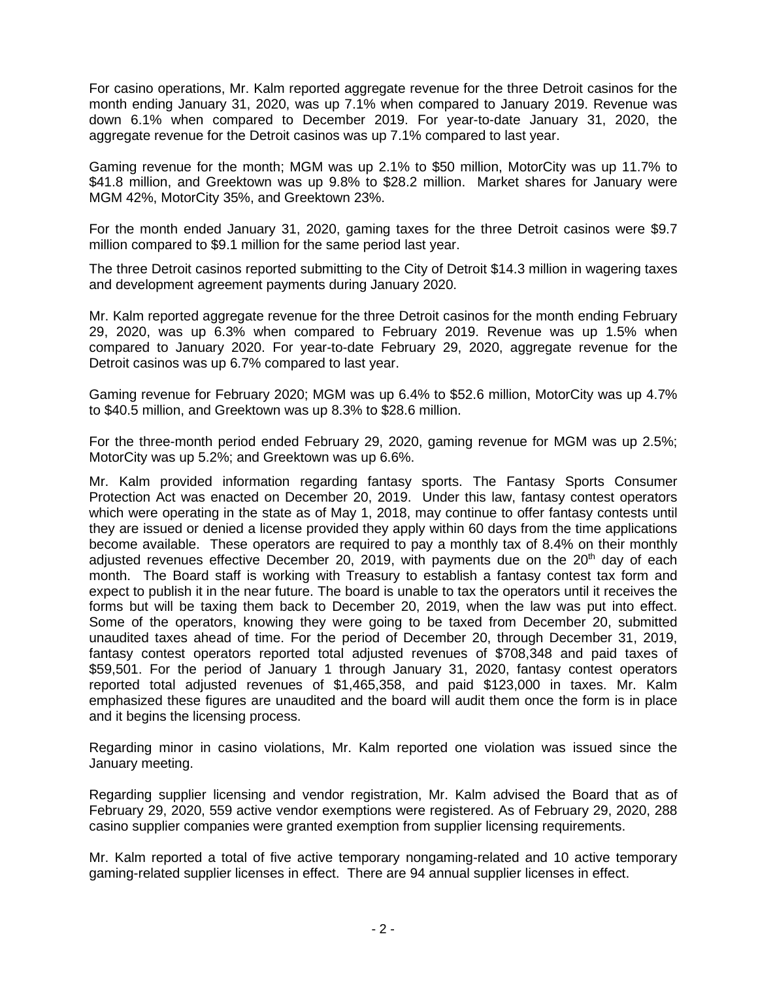For casino operations, Mr. Kalm reported aggregate revenue for the three Detroit casinos for the month ending January 31, 2020, was up 7.1% when compared to January 2019. Revenue was down 6.1% when compared to December 2019. For year-to-date January 31, 2020, the aggregate revenue for the Detroit casinos was up 7.1% compared to last year.

Gaming revenue for the month; MGM was up 2.1% to \$50 million, MotorCity was up 11.7% to \$41.8 million, and Greektown was up 9.8% to \$28.2 million. Market shares for January were MGM 42%, MotorCity 35%, and Greektown 23%.

For the month ended January 31, 2020, gaming taxes for the three Detroit casinos were \$9.7 million compared to \$9.1 million for the same period last year.

The three Detroit casinos reported submitting to the City of Detroit \$14.3 million in wagering taxes and development agreement payments during January 2020.

Mr. Kalm reported aggregate revenue for the three Detroit casinos for the month ending February 29, 2020, was up 6.3% when compared to February 2019. Revenue was up 1.5% when compared to January 2020. For year-to-date February 29, 2020, aggregate revenue for the Detroit casinos was up 6.7% compared to last year.

Gaming revenue for February 2020; MGM was up 6.4% to \$52.6 million, MotorCity was up 4.7% to \$40.5 million, and Greektown was up 8.3% to \$28.6 million.

For the three-month period ended February 29, 2020, gaming revenue for MGM was up 2.5%; MotorCity was up 5.2%; and Greektown was up 6.6%.

Mr. Kalm provided information regarding fantasy sports. The Fantasy Sports Consumer Protection Act was enacted on December 20, 2019. Under this law, fantasy contest operators which were operating in the state as of May 1, 2018, may continue to offer fantasy contests until they are issued or denied a license provided they apply within 60 days from the time applications become available. These operators are required to pay a monthly tax of 8.4% on their monthly adjusted revenues effective December 20, 2019, with payments due on the  $20<sup>th</sup>$  day of each month. The Board staff is working with Treasury to establish a fantasy contest tax form and expect to publish it in the near future. The board is unable to tax the operators until it receives the forms but will be taxing them back to December 20, 2019, when the law was put into effect. Some of the operators, knowing they were going to be taxed from December 20, submitted unaudited taxes ahead of time. For the period of December 20, through December 31, 2019, fantasy contest operators reported total adjusted revenues of \$708,348 and paid taxes of \$59,501. For the period of January 1 through January 31, 2020, fantasy contest operators reported total adjusted revenues of \$1,465,358, and paid \$123,000 in taxes. Mr. Kalm emphasized these figures are unaudited and the board will audit them once the form is in place and it begins the licensing process.

Regarding minor in casino violations, Mr. Kalm reported one violation was issued since the January meeting.

Regarding supplier licensing and vendor registration, Mr. Kalm advised the Board that as of February 29, 2020, 559 active vendor exemptions were registered. As of February 29, 2020, 288 casino supplier companies were granted exemption from supplier licensing requirements.

Mr. Kalm reported a total of five active temporary nongaming-related and 10 active temporary gaming-related supplier licenses in effect. There are 94 annual supplier licenses in effect.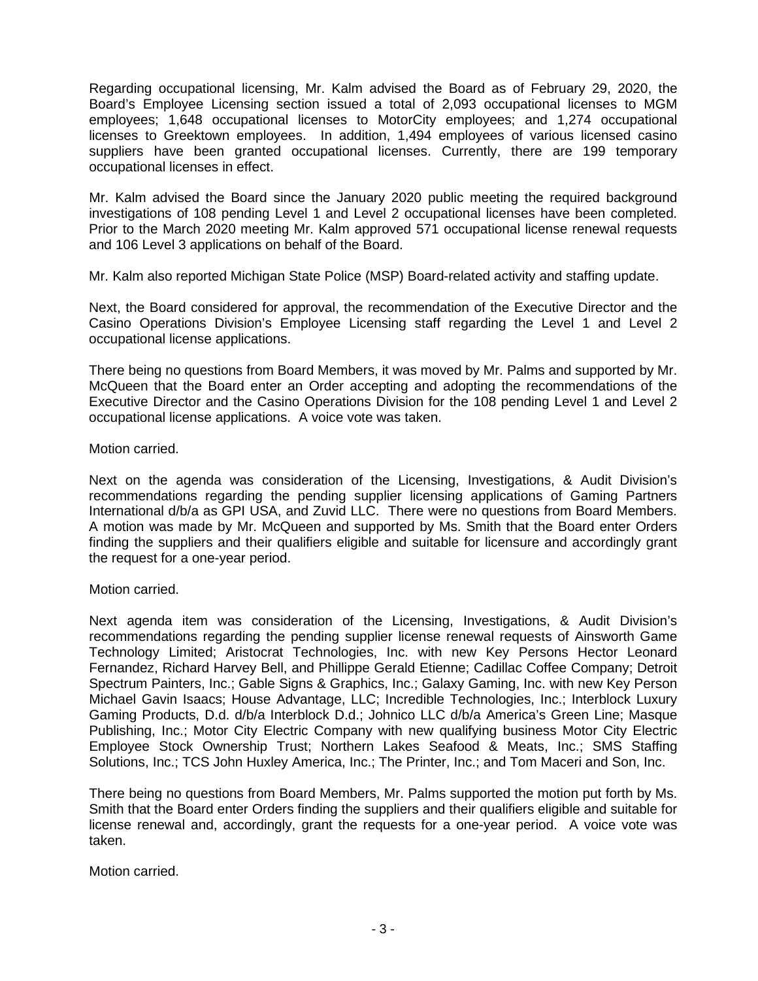Regarding occupational licensing, Mr. Kalm advised the Board as of February 29, 2020, the Board's Employee Licensing section issued a total of 2,093 occupational licenses to MGM employees; 1,648 occupational licenses to MotorCity employees; and 1,274 occupational licenses to Greektown employees. In addition, 1,494 employees of various licensed casino suppliers have been granted occupational licenses. Currently, there are 199 temporary occupational licenses in effect.

Mr. Kalm advised the Board since the January 2020 public meeting the required background investigations of 108 pending Level 1 and Level 2 occupational licenses have been completed. Prior to the March 2020 meeting Mr. Kalm approved 571 occupational license renewal requests and 106 Level 3 applications on behalf of the Board.

Mr. Kalm also reported Michigan State Police (MSP) Board-related activity and staffing update.

Next, the Board considered for approval, the recommendation of the Executive Director and the Casino Operations Division's Employee Licensing staff regarding the Level 1 and Level 2 occupational license applications.

There being no questions from Board Members, it was moved by Mr. Palms and supported by Mr. McQueen that the Board enter an Order accepting and adopting the recommendations of the Executive Director and the Casino Operations Division for the 108 pending Level 1 and Level 2 occupational license applications. A voice vote was taken.

## Motion carried.

Next on the agenda was consideration of the Licensing, Investigations, & Audit Division's recommendations regarding the pending supplier licensing applications of Gaming Partners International d/b/a as GPI USA, and Zuvid LLC. There were no questions from Board Members. A motion was made by Mr. McQueen and supported by Ms. Smith that the Board enter Orders finding the suppliers and their qualifiers eligible and suitable for licensure and accordingly grant the request for a one-year period.

### Motion carried.

Next agenda item was consideration of the Licensing, Investigations, & Audit Division's recommendations regarding the pending supplier license renewal requests of Ainsworth Game Technology Limited; Aristocrat Technologies, Inc. with new Key Persons Hector Leonard Fernandez, Richard Harvey Bell, and Phillippe Gerald Etienne; Cadillac Coffee Company; Detroit Spectrum Painters, Inc.; Gable Signs & Graphics, Inc.; Galaxy Gaming, Inc. with new Key Person Michael Gavin Isaacs; House Advantage, LLC; Incredible Technologies, Inc.; Interblock Luxury Gaming Products, D.d. d/b/a Interblock D.d.; Johnico LLC d/b/a America's Green Line; Masque Publishing, Inc.; Motor City Electric Company with new qualifying business Motor City Electric Employee Stock Ownership Trust; Northern Lakes Seafood & Meats, Inc.; SMS Staffing Solutions, Inc.; TCS John Huxley America, Inc.; The Printer, Inc.; and Tom Maceri and Son, Inc.

There being no questions from Board Members, Mr. Palms supported the motion put forth by Ms. Smith that the Board enter Orders finding the suppliers and their qualifiers eligible and suitable for license renewal and, accordingly, grant the requests for a one-year period. A voice vote was taken.

Motion carried.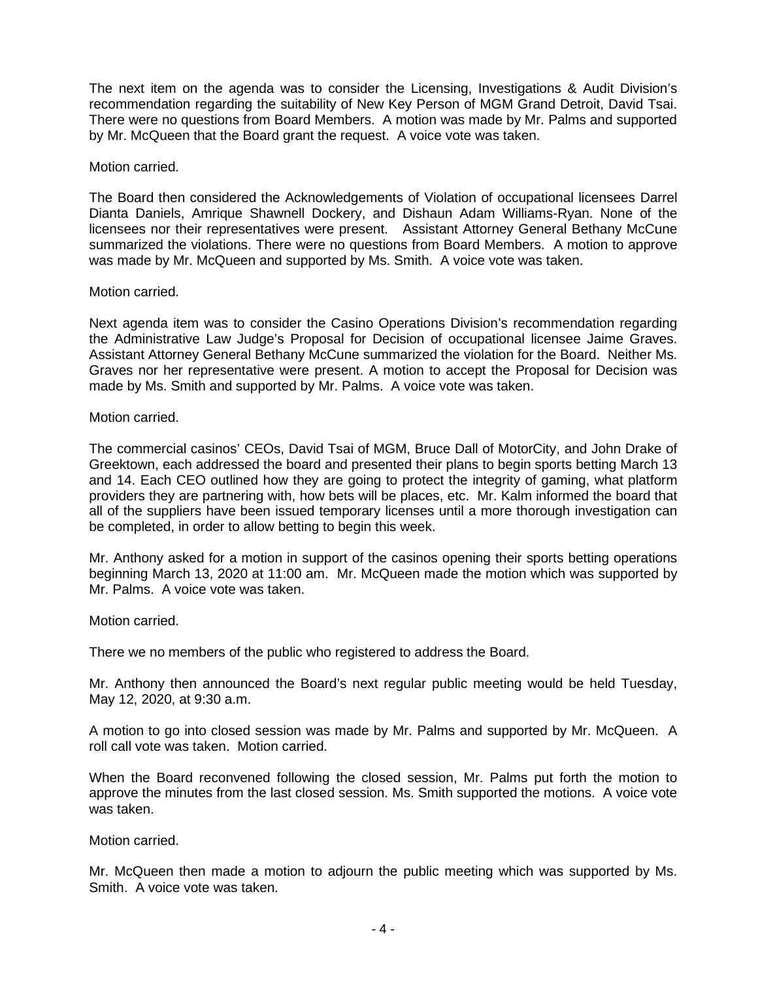The next item on the agenda was to consider the Licensing, Investigations & Audit Division's recommendation regarding the suitability of New Key Person of MGM Grand Detroit, David Tsai. There were no questions from Board Members. A motion was made by Mr. Palms and supported by Mr. McQueen that the Board grant the request. A voice vote was taken.

Motion carried.

The Board then considered the Acknowledgements of Violation of occupational licensees Darrel Dianta Daniels, Amrique Shawnell Dockery, and Dishaun Adam Williams-Ryan. None of the licensees nor their representatives were present. Assistant Attorney General Bethany McCune summarized the violations. There were no questions from Board Members. A motion to approve was made by Mr. McQueen and supported by Ms. Smith. A voice vote was taken.

Motion carried.

Next agenda item was to consider the Casino Operations Division's recommendation regarding the Administrative Law Judge's Proposal for Decision of occupational licensee Jaime Graves. Assistant Attorney General Bethany McCune summarized the violation for the Board. Neither Ms. Graves nor her representative were present. A motion to accept the Proposal for Decision was made by Ms. Smith and supported by Mr. Palms. A voice vote was taken.

Motion carried.

The commercial casinos' CEOs, David Tsai of MGM, Bruce Dall of MotorCity, and John Drake of Greektown, each addressed the board and presented their plans to begin sports betting March 13 and 14. Each CEO outlined how they are going to protect the integrity of gaming, what platform providers they are partnering with, how bets will be places, etc. Mr. Kalm informed the board that all of the suppliers have been issued temporary licenses until a more thorough investigation can be completed, in order to allow betting to begin this week.

Mr. Anthony asked for a motion in support of the casinos opening their sports betting operations beginning March 13, 2020 at 11:00 am. Mr. McQueen made the motion which was supported by Mr. Palms. A voice vote was taken.

Motion carried.

There we no members of the public who registered to address the Board.

Mr. Anthony then announced the Board's next regular public meeting would be held Tuesday, May 12, 2020, at 9:30 a.m.

A motion to go into closed session was made by Mr. Palms and supported by Mr. McQueen. A roll call vote was taken. Motion carried.

When the Board reconvened following the closed session, Mr. Palms put forth the motion to approve the minutes from the last closed session. Ms. Smith supported the motions. A voice vote was taken.

Motion carried.

Mr. McQueen then made a motion to adjourn the public meeting which was supported by Ms. Smith. A voice vote was taken.